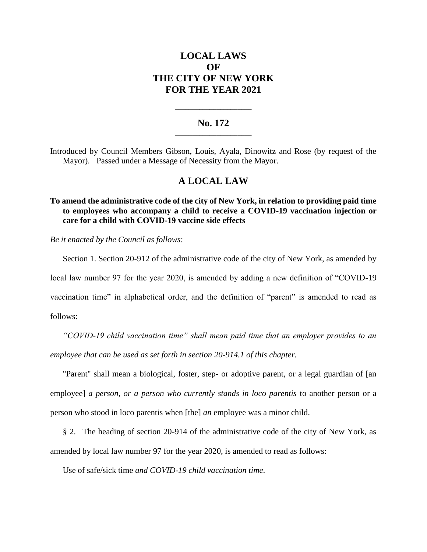# **LOCAL LAWS OF THE CITY OF NEW YORK FOR THE YEAR 2021**

### **No. 172 \_\_\_\_\_\_\_\_\_\_\_\_\_\_\_\_\_\_\_\_\_\_**

**\_\_\_\_\_\_\_\_\_\_\_\_\_\_\_\_\_\_\_\_\_\_**

Introduced by Council Members Gibson, Louis, Ayala, Dinowitz and Rose (by request of the Mayor). Passed under a Message of Necessity from the Mayor.

## **A LOCAL LAW**

**To amend the administrative code of the city of New York, in relation to providing paid time to employees who accompany a child to receive a COVID-19 vaccination injection or care for a child with COVID-19 vaccine side effects**

*Be it enacted by the Council as follows*:

Section 1. Section 20-912 of the administrative code of the city of New York, as amended by

local law number 97 for the year 2020, is amended by adding a new definition of "COVID-19

vaccination time" in alphabetical order, and the definition of "parent" is amended to read as follows:

*"COVID-19 child vaccination time" shall mean paid time that an employer provides to an employee that can be used as set forth in section 20-914.1 of this chapter.*

"Parent" shall mean a biological, foster, step- or adoptive parent, or a legal guardian of [an employee] *a person, or a person who currently stands in loco parentis* to another person or a person who stood in loco parentis when [the] *an* employee was a minor child.

§ 2. The heading of section 20-914 of the administrative code of the city of New York, as amended by local law number 97 for the year 2020, is amended to read as follows:

Use of safe/sick time *and COVID-19 child vaccination time*.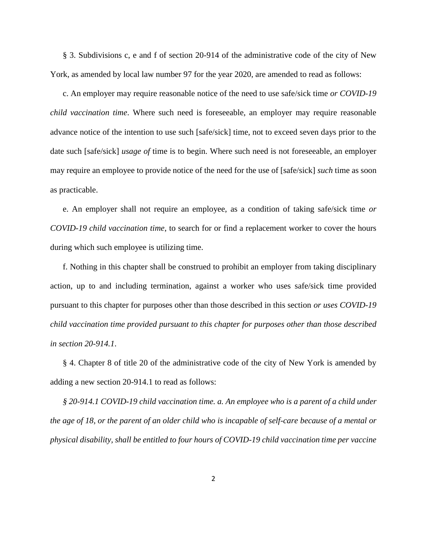§ 3. Subdivisions c, e and f of section 20-914 of the administrative code of the city of New York, as amended by local law number 97 for the year 2020, are amended to read as follows:

c. An employer may require reasonable notice of the need to use safe/sick time *or COVID-19 child vaccination time*. Where such need is foreseeable, an employer may require reasonable advance notice of the intention to use such [safe/sick] time, not to exceed seven days prior to the date such [safe/sick] *usage of* time is to begin. Where such need is not foreseeable, an employer may require an employee to provide notice of the need for the use of [safe/sick] *such* time as soon as practicable.

e. An employer shall not require an employee, as a condition of taking safe/sick time *or COVID-19 child vaccination time*, to search for or find a replacement worker to cover the hours during which such employee is utilizing time.

f. Nothing in this chapter shall be construed to prohibit an employer from taking disciplinary action, up to and including termination, against a worker who uses safe/sick time provided pursuant to this chapter for purposes other than those described in this section *or uses COVID-19 child vaccination time provided pursuant to this chapter for purposes other than those described in section 20-914.1*.

§ 4. Chapter 8 of title 20 of the administrative code of the city of New York is amended by adding a new section 20-914.1 to read as follows:

*§ 20-914.1 COVID-19 child vaccination time. a. An employee who is a parent of a child under the age of 18, or the parent of an older child who is incapable of self-care because of a mental or physical disability, shall be entitled to four hours of COVID-19 child vaccination time per vaccine*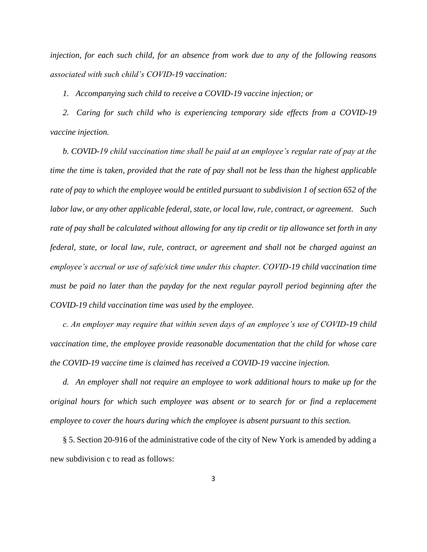*injection, for each such child, for an absence from work due to any of the following reasons associated with such child's COVID-19 vaccination:*

*1. Accompanying such child to receive a COVID-19 vaccine injection; or* 

*2. Caring for such child who is experiencing temporary side effects from a COVID-19 vaccine injection.*

*b. COVID-19 child vaccination time shall be paid at an employee's regular rate of pay at the time the time is taken, provided that the rate of pay shall not be less than the highest applicable rate of pay to which the employee would be entitled pursuant to subdivision 1 of section 652 of the labor law, or any other applicable federal, state, or local law, rule, contract, or agreement. Such rate of pay shall be calculated without allowing for any tip credit or tip allowance set forth in any federal, state, or local law, rule, contract, or agreement and shall not be charged against an employee's accrual or use of safe/sick time under this chapter. COVID-19 child vaccination time must be paid no later than the payday for the next regular payroll period beginning after the COVID-19 child vaccination time was used by the employee.*

*c. An employer may require that within seven days of an employee's use of COVID-19 child vaccination time, the employee provide reasonable documentation that the child for whose care the COVID-19 vaccine time is claimed has received a COVID-19 vaccine injection.* 

*d. An employer shall not require an employee to work additional hours to make up for the original hours for which such employee was absent or to search for or find a replacement employee to cover the hours during which the employee is absent pursuant to this section.* 

§ 5. Section 20-916 of the administrative code of the city of New York is amended by adding a new subdivision c to read as follows: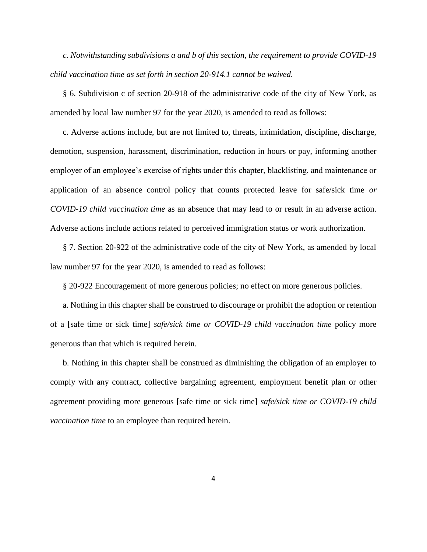*c. Notwithstanding subdivisions a and b of this section, the requirement to provide COVID-19 child vaccination time as set forth in section 20-914.1 cannot be waived.* 

§ 6. Subdivision c of section 20-918 of the administrative code of the city of New York, as amended by local law number 97 for the year 2020, is amended to read as follows:

c. Adverse actions include, but are not limited to, threats, intimidation, discipline, discharge, demotion, suspension, harassment, discrimination, reduction in hours or pay, informing another employer of an employee's exercise of rights under this chapter, blacklisting, and maintenance or application of an absence control policy that counts protected leave for safe/sick time *or COVID-19 child vaccination time* as an absence that may lead to or result in an adverse action. Adverse actions include actions related to perceived immigration status or work authorization.

§ 7. Section 20-922 of the administrative code of the city of New York, as amended by local law number 97 for the year 2020, is amended to read as follows:

§ 20-922 Encouragement of more generous policies; no effect on more generous policies.

a. Nothing in this chapter shall be construed to discourage or prohibit the adoption or retention of a [safe time or sick time] *safe/sick time or COVID-19 child vaccination time* policy more generous than that which is required herein.

b. Nothing in this chapter shall be construed as diminishing the obligation of an employer to comply with any contract, collective bargaining agreement, employment benefit plan or other agreement providing more generous [safe time or sick time] *safe/sick time or COVID-19 child vaccination time* to an employee than required herein.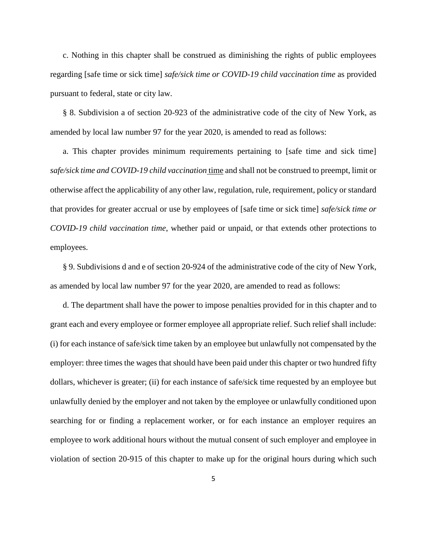c. Nothing in this chapter shall be construed as diminishing the rights of public employees regarding [safe time or sick time] *safe/sick time or COVID-19 child vaccination time* as provided pursuant to federal, state or city law.

§ 8. Subdivision a of section 20-923 of the administrative code of the city of New York, as amended by local law number 97 for the year 2020, is amended to read as follows:

a. This chapter provides minimum requirements pertaining to [safe time and sick time] *safe/sick time and COVID-19 child vaccination* time and shall not be construed to preempt, limit or otherwise affect the applicability of any other law, regulation, rule, requirement, policy or standard that provides for greater accrual or use by employees of [safe time or sick time] *safe/sick time or COVID-19 child vaccination time*, whether paid or unpaid, or that extends other protections to employees.

§ 9. Subdivisions d and e of section 20-924 of the administrative code of the city of New York, as amended by local law number 97 for the year 2020, are amended to read as follows:

d. The department shall have the power to impose penalties provided for in this chapter and to grant each and every employee or former employee all appropriate relief. Such relief shall include: (i) for each instance of safe/sick time taken by an employee but unlawfully not compensated by the employer: three times the wages that should have been paid under this chapter or two hundred fifty dollars, whichever is greater; (ii) for each instance of safe/sick time requested by an employee but unlawfully denied by the employer and not taken by the employee or unlawfully conditioned upon searching for or finding a replacement worker, or for each instance an employer requires an employee to work additional hours without the mutual consent of such employer and employee in violation of section 20-915 of this chapter to make up for the original hours during which such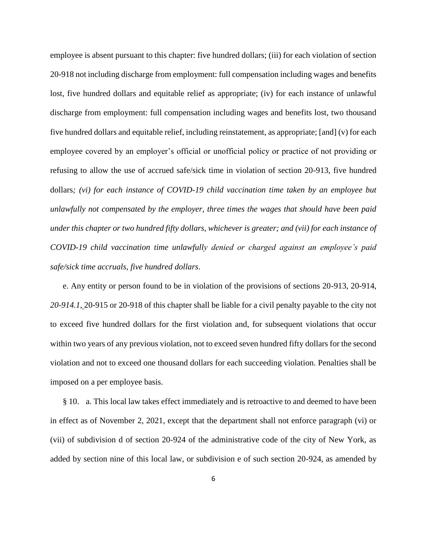employee is absent pursuant to this chapter: five hundred dollars; (iii) for each violation of section 20-918 not including discharge from employment: full compensation including wages and benefits lost, five hundred dollars and equitable relief as appropriate; (iv) for each instance of unlawful discharge from employment: full compensation including wages and benefits lost, two thousand five hundred dollars and equitable relief, including reinstatement, as appropriate; [and] (v) for each employee covered by an employer's official or unofficial policy or practice of not providing or refusing to allow the use of accrued safe/sick time in violation of section 20-913, five hundred dollars*; (vi) for each instance of COVID-19 child vaccination time taken by an employee but unlawfully not compensated by the employer, three times the wages that should have been paid under this chapter or two hundred fifty dollars, whichever is greater; and (vii) for each instance of COVID-19 child vaccination time unlawfully denied or charged against an employee's paid safe/sick time accruals, five hundred dollars*.

e. Any entity or person found to be in violation of the provisions of sections 20-913, 20-914, *20-914.1,* 20-915 or 20-918 of this chapter shall be liable for a civil penalty payable to the city not to exceed five hundred dollars for the first violation and, for subsequent violations that occur within two years of any previous violation, not to exceed seven hundred fifty dollars for the second violation and not to exceed one thousand dollars for each succeeding violation. Penalties shall be imposed on a per employee basis.

§ 10. a. This local law takes effect immediately and is retroactive to and deemed to have been in effect as of November 2, 2021, except that the department shall not enforce paragraph (vi) or (vii) of subdivision d of section 20-924 of the administrative code of the city of New York, as added by section nine of this local law, or subdivision e of such section 20-924, as amended by